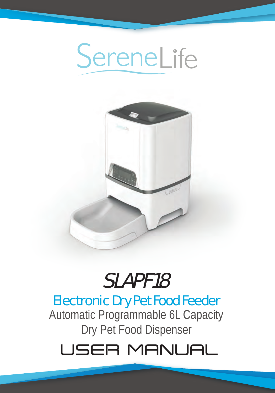



# SLAPF18

# Electronic Dry Pet Food Feeder

Automatic Programmable 6L Capacity Dry Pet Food Dispenser

# USER MANUAL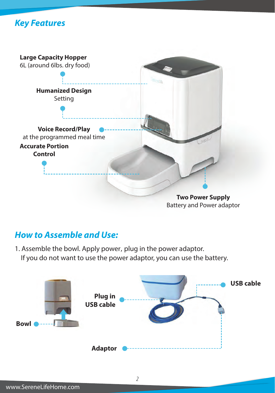



#### *How to Assemble and Use:*

1. Assemble the bowl. Apply power, plug in the power adaptor. If you do not want to use the power adaptor, you can use the battery.

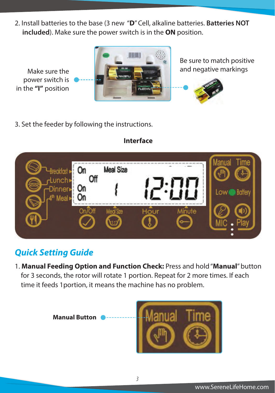2. Install batteries to the base (3 new "**D**" Cell, alkaline batteries. **Batteries NOT included**). Make sure the power switch is in the **ON** position.

Make sure the power switch is in the **"I"** position



Be sure to match positive and negative markings



3. Set the feeder by following the instructions.



# **Interface**

## *Quick Setting Guide*

1. **Manual Feeding Option and Function Check:** Press and hold "**Manual**" button for 3 seconds, the rotor will rotate 1 portion. Repeat for 2 more times. If each time it feeds 1portion, it means the machine has no problem.

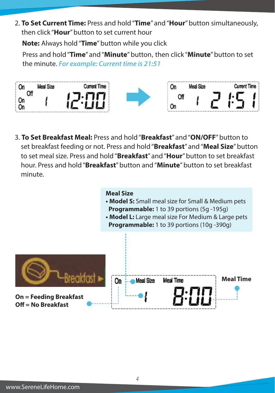2. **To Set Current Time:** Press and hold "**Time**" and "**Hour**" button simultaneously, then click "**Hour**" button to set current hour

 **Note:** Always hold "**Time**" button while you click

 Press and hold "**Time**" and "**Minute**" button,then click "**Minute**" button to set the minute. *For example: Current time is 21:51*



3. **To Set Breakfast Meal:** Press and hold "**Breakfast**" and "**ON/OFF**" button to set breakfast feeding or not. Press and hold "**Breakfast**" and "**Meal Size**" button to set meal size. Press and hold "**Breakfast**" and "**Hour**" button to set breakfast hour. Press and hold "**Breakfast**" button and "**Minute**" button to set breakfast minute.

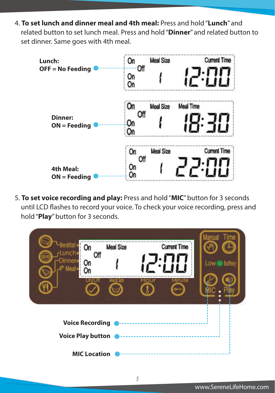4. **To set lunch and dinner meal and 4th meal:** Press and hold "**Lunch**" and related button to set lunch meal. Press and hold "**Dinner**" and related button to set dinner. Same goes with 4th meal.



5. **To set voice recording and play:** Press and hold "**MIC**" button for 3 seconds until LCD flashes to record your voice. To check your voice recording, press and hold "**Play**" button for 3 seconds.

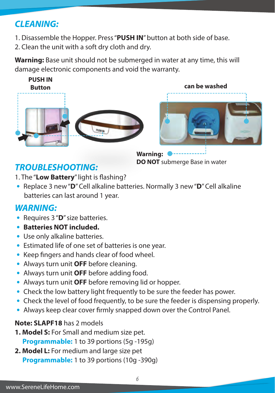# *CLEANING:*

- 1. Disassemble the Hopper. Press "**PUSH IN**" button at both side of base.
- 2. Clean the unit with a soft dry cloth and dry.

**Warning:** Base unit should not be submerged in water at any time, this will damage electronic components and void the warranty.





**Warning: DO NOT** submerge Base in water

# *TROUBLESHOOTING:*

1. The "Low Battery" light is flashing?

 **•** Replace 3 new "**D**" Cell alkaline batteries. Normally 3 new "**D**" Cell alkaline batteries can last around 1 year.

# *WARNING:*

- Requires 3 "**D**" size batteries.
- **Batteries NOT included.**
- Use only alkaline batteries.
- Estimated life of one set of batteries is one year.
- Keep fingers and hands clear of food wheel.
- Always turn unit **OFF** before cleaning.
- Always turn unit **OFF** before adding food.
- Always turn unit **OFF** before removing lid or hopper.
- Check the low battery light frequently to be sure the feeder has power.
- Check the level of food frequently, to be sure the feeder is dispensing properly.
- Always keep clear cover firmly snapped down over the Control Panel.

#### **Note: SLAPF18** has 2 models

- **1. Model S:** For Small and medium size pet. **Programmable:** 1 to 39 portions (5g -195g)
- **2. Model L:** For medium and large size pet **Programmable:** 1 to 39 portions (10g -390g)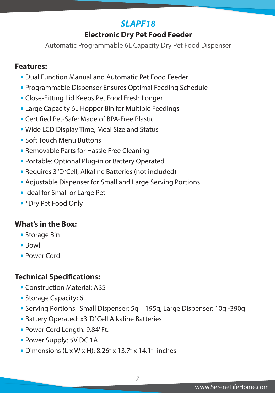## *SLAPF18*

### **Electronic Dry Pet Food Feeder**

Automatic Programmable 6L Capacity Dry Pet Food Dispenser

#### **Features:**

- Dual Function Manual and Automatic Pet Food Feeder
- Programmable Dispenser Ensures Optimal Feeding Schedule
- Close-Fitting Lid Keeps Pet Food Fresh Longer
- Large Capacity 6L Hopper Bin for Multiple Feedings
- **Certified Pet-Safe: Made of BPA-Free Plastic**
- Wide LCD Display Time, Meal Size and Status
- Soft Touch Menu Buttons
- Removable Parts for Hassle Free Cleaning
- Portable: Optional Plug-in or Battery Operated
- Requires 3 'D 'Cell, Alkaline Batteries (not included)
- Adjustable Dispenser for Small and Large Serving Portions
- Ideal for Small or Large Pet
- \*Dry Pet Food Only

#### **What's in the Box:**

- Storage Bin
- Bowl
- Power Cord

#### **Technical Specifications:**

- Construction Material: ABS
- Storage Capacity: 6L
- Serving Portions: Small Dispenser: 5g 195g, Large Dispenser: 10g -390g
- Battery Operated: x3 'D' Cell Alkaline Batteries
- Power Cord Length: 9.84' Ft.
- Power Supply: 5V DC 1A
- Dimensions (L x W x H): 8.26'' x 13.7'' x 14.1'' -inches